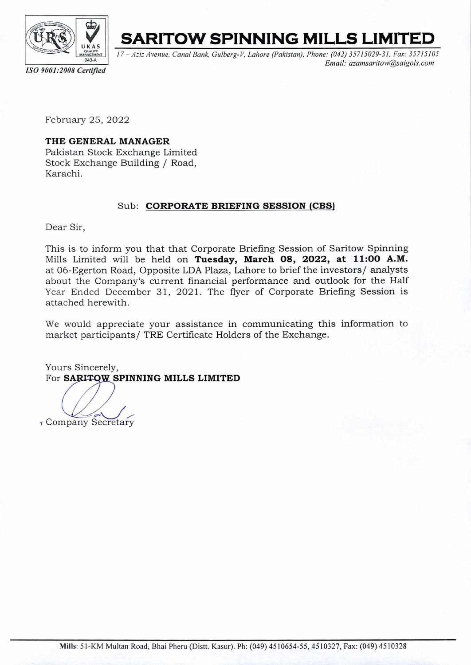

**SARITOW SPINNING MILLS LIMITED** 

17 - Aziz Avenue, Canal Bank, Gulberg-V, Lahore (Pakistan), Phone: (042) 35715029-31, Fax: 35715105 Email: azamsaritow@saigols.com

*ISO 9001:2008 Cartjfied* 

February 25, 2022

## **THE GENERAL MANAGER**  Pakistan Stock Exchange Limited Stock Exchange Building / Road, Karachi.

## Sub: **CORPORATE BRIEFING SESSION (CBS)**

Dear Sir,

This is to inform you that that Corporate Briefing Session of Saritow Spinning Mills Limited will be held on **Tuesday, March 08, 2022, at 11:00 A.M.**  at 06-Egerton Road, Opposite LDA Plaza, Lahore to brief the investors/ analysts about the Company's current financial performance and outlook for the Half Year Ended December 31, 2021. The flyer of Corporate Briefing Session is attached herewith.

We would appreciate your assistance in communicating this information to market participants/ TRE Certificate Holders of the Exchange.

Yours Sincerely, For **SARITOW SPINNING MILLS LIMITED** 

Company Secretary

Mills: 51-KM Multan Road, Bhai Pheru (Distt. Kasur). Ph: (049) 4510654-55, 4510327, Fax: (049) 4510328